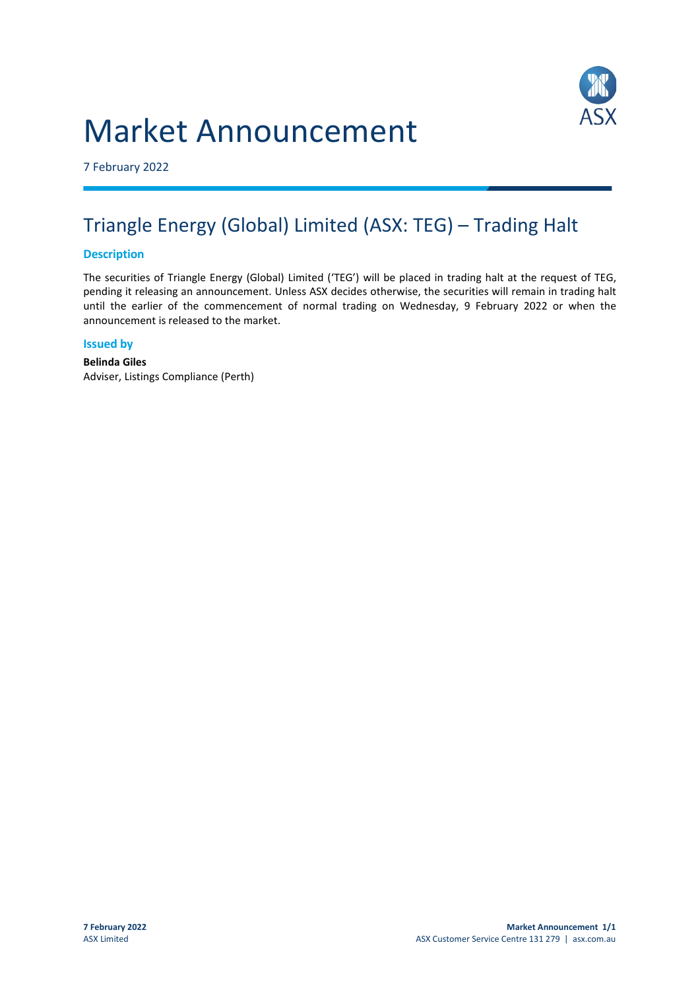# Market Announcement



7 February 2022

# Triangle Energy (Global) Limited (ASX: TEG) – Trading Halt

# **Description**

The securities of Triangle Energy (Global) Limited ('TEG') will be placed in trading halt at the request of TEG, pending it releasing an announcement. Unless ASX decides otherwise, the securities will remain in trading halt until the earlier of the commencement of normal trading on Wednesday, 9 February 2022 or when the announcement is released to the market.

#### **Issued by**

**Belinda Giles** Adviser, Listings Compliance (Perth)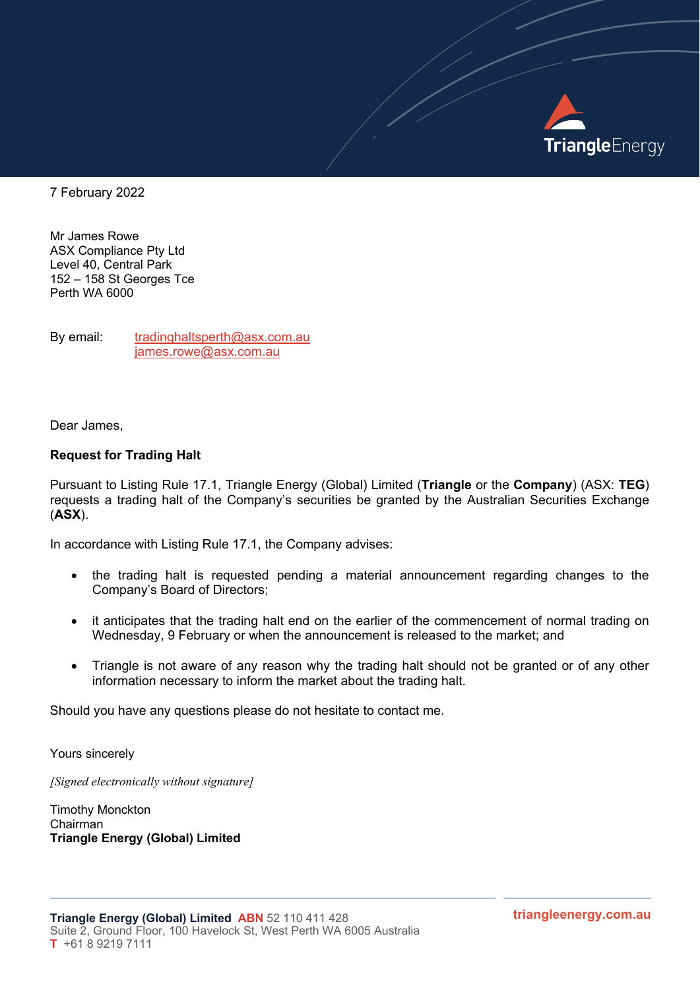

7 February 2022

Mr James Rowe ASX Compliance Pty Ltd Level 40, Central Park 152 – 158 St Georges Tce Perth WA 6000

By email: [tradinghaltsperth@asx.com.au](mailto:tradinghaltsperth@asx.com.au) [james.rowe@asx.com.au](mailto:james.rowe@asx.com.au)

Dear James,

## **Request for Trading Halt**

Pursuant to Listing Rule 17.1, Triangle Energy (Global) Limited (**Triangle** or the **Company**) (ASX: **TEG**) requests a trading halt of the Company's securities be granted by the Australian Securities Exchange (**ASX**).

In accordance with Listing Rule 17.1, the Company advises:

- the trading halt is requested pending a material announcement regarding changes to the Company's Board of Directors;
- it anticipates that the trading halt end on the earlier of the commencement of normal trading on Wednesday, 9 February or when the announcement is released to the market; and
- Triangle is not aware of any reason why the trading halt should not be granted or of any other information necessary to inform the market about the trading halt.

Should you have any questions please do not hesitate to contact me.

Yours sincerely

*[Signed electronically without signature]*

Timothy Monckton Chairman **Triangle Energy (Global) Limited**